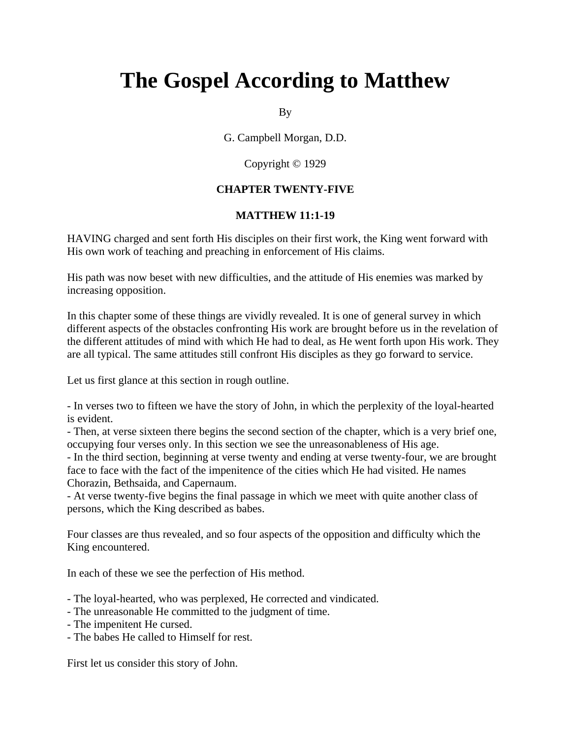# **The Gospel According to Matthew**

By

G. Campbell Morgan, D.D.

Copyright © 1929

#### **CHAPTER TWENTY-FIVE**

### **MATTHEW 11:1-19**

HAVING charged and sent forth His disciples on their first work, the King went forward with His own work of teaching and preaching in enforcement of His claims.

His path was now beset with new difficulties, and the attitude of His enemies was marked by increasing opposition.

In this chapter some of these things are vividly revealed. It is one of general survey in which different aspects of the obstacles confronting His work are brought before us in the revelation of the different attitudes of mind with which He had to deal, as He went forth upon His work. They are all typical. The same attitudes still confront His disciples as they go forward to service.

Let us first glance at this section in rough outline.

- In verses two to fifteen we have the story of John, in which the perplexity of the loyal-hearted is evident.

- Then, at verse sixteen there begins the second section of the chapter, which is a very brief one, occupying four verses only. In this section we see the unreasonableness of His age.

- In the third section, beginning at verse twenty and ending at verse twenty-four, we are brought face to face with the fact of the impenitence of the cities which He had visited. He names Chorazin, Bethsaida, and Capernaum.

- At verse twenty-five begins the final passage in which we meet with quite another class of persons, which the King described as babes.

Four classes are thus revealed, and so four aspects of the opposition and difficulty which the King encountered.

In each of these we see the perfection of His method.

- The loyal-hearted, who was perplexed, He corrected and vindicated.
- The unreasonable He committed to the judgment of time.
- The impenitent He cursed.
- The babes He called to Himself for rest.

First let us consider this story of John.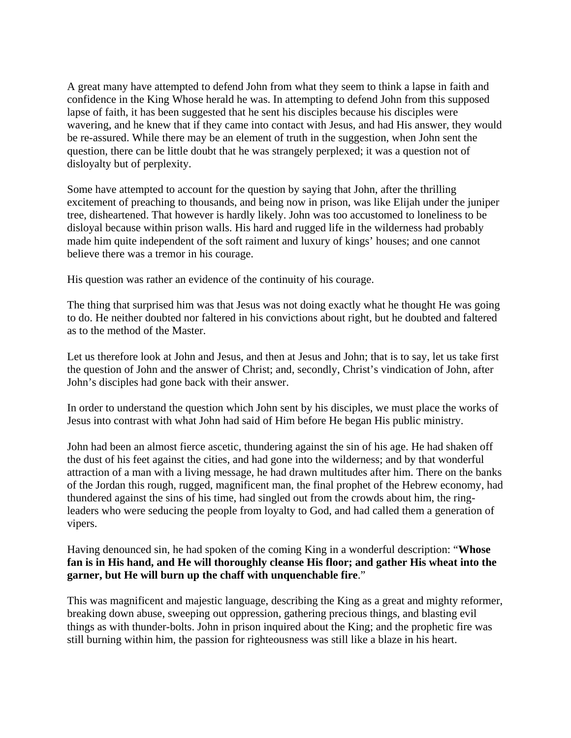A great many have attempted to defend John from what they seem to think a lapse in faith and confidence in the King Whose herald he was. In attempting to defend John from this supposed lapse of faith, it has been suggested that he sent his disciples because his disciples were wavering, and he knew that if they came into contact with Jesus, and had His answer, they would be re-assured. While there may be an element of truth in the suggestion, when John sent the question, there can be little doubt that he was strangely perplexed; it was a question not of disloyalty but of perplexity.

Some have attempted to account for the question by saying that John, after the thrilling excitement of preaching to thousands, and being now in prison, was like Elijah under the juniper tree, disheartened. That however is hardly likely. John was too accustomed to loneliness to be disloyal because within prison walls. His hard and rugged life in the wilderness had probably made him quite independent of the soft raiment and luxury of kings' houses; and one cannot believe there was a tremor in his courage.

His question was rather an evidence of the continuity of his courage.

The thing that surprised him was that Jesus was not doing exactly what he thought He was going to do. He neither doubted nor faltered in his convictions about right, but he doubted and faltered as to the method of the Master.

Let us therefore look at John and Jesus, and then at Jesus and John; that is to say, let us take first the question of John and the answer of Christ; and, secondly, Christ's vindication of John, after John's disciples had gone back with their answer.

In order to understand the question which John sent by his disciples, we must place the works of Jesus into contrast with what John had said of Him before He began His public ministry.

John had been an almost fierce ascetic, thundering against the sin of his age. He had shaken off the dust of his feet against the cities, and had gone into the wilderness; and by that wonderful attraction of a man with a living message, he had drawn multitudes after him. There on the banks of the Jordan this rough, rugged, magnificent man, the final prophet of the Hebrew economy, had thundered against the sins of his time, had singled out from the crowds about him, the ringleaders who were seducing the people from loyalty to God, and had called them a generation of vipers.

# Having denounced sin, he had spoken of the coming King in a wonderful description: "**Whose fan is in His hand, and He will thoroughly cleanse His floor; and gather His wheat into the garner, but He will burn up the chaff with unquenchable fire**."

This was magnificent and majestic language, describing the King as a great and mighty reformer, breaking down abuse, sweeping out oppression, gathering precious things, and blasting evil things as with thunder-bolts. John in prison inquired about the King; and the prophetic fire was still burning within him, the passion for righteousness was still like a blaze in his heart.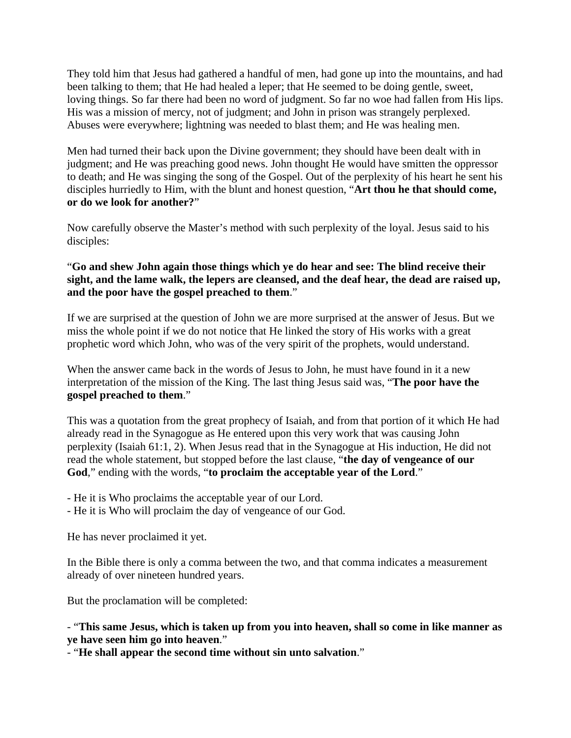They told him that Jesus had gathered a handful of men, had gone up into the mountains, and had been talking to them; that He had healed a leper; that He seemed to be doing gentle, sweet, loving things. So far there had been no word of judgment. So far no woe had fallen from His lips. His was a mission of mercy, not of judgment; and John in prison was strangely perplexed. Abuses were everywhere; lightning was needed to blast them; and He was healing men.

Men had turned their back upon the Divine government; they should have been dealt with in judgment; and He was preaching good news. John thought He would have smitten the oppressor to death; and He was singing the song of the Gospel. Out of the perplexity of his heart he sent his disciples hurriedly to Him, with the blunt and honest question, "**Art thou he that should come, or do we look for another?**"

Now carefully observe the Master's method with such perplexity of the loyal. Jesus said to his disciples:

# "**Go and shew John again those things which ye do hear and see: The blind receive their sight, and the lame walk, the lepers are cleansed, and the deaf hear, the dead are raised up, and the poor have the gospel preached to them**."

If we are surprised at the question of John we are more surprised at the answer of Jesus. But we miss the whole point if we do not notice that He linked the story of His works with a great prophetic word which John, who was of the very spirit of the prophets, would understand.

When the answer came back in the words of Jesus to John, he must have found in it a new interpretation of the mission of the King. The last thing Jesus said was, "**The poor have the gospel preached to them**."

This was a quotation from the great prophecy of Isaiah, and from that portion of it which He had already read in the Synagogue as He entered upon this very work that was causing John perplexity (Isaiah 61:1, 2). When Jesus read that in the Synagogue at His induction, He did not read the whole statement, but stopped before the last clause, "**the day of vengeance of our God**," ending with the words, "**to proclaim the acceptable year of the Lord**."

- He it is Who proclaims the acceptable year of our Lord.

- He it is Who will proclaim the day of vengeance of our God.

He has never proclaimed it yet.

In the Bible there is only a comma between the two, and that comma indicates a measurement already of over nineteen hundred years.

But the proclamation will be completed:

## - "**This same Jesus, which is taken up from you into heaven, shall so come in like manner as ye have seen him go into heaven**."

- "**He shall appear the second time without sin unto salvation**."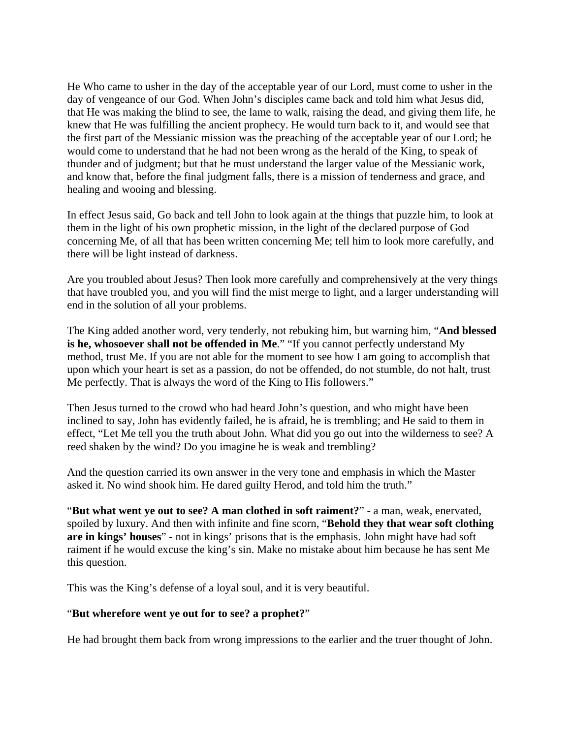He Who came to usher in the day of the acceptable year of our Lord, must come to usher in the day of vengeance of our God. When John's disciples came back and told him what Jesus did, that He was making the blind to see, the lame to walk, raising the dead, and giving them life, he knew that He was fulfilling the ancient prophecy. He would turn back to it, and would see that the first part of the Messianic mission was the preaching of the acceptable year of our Lord; he would come to understand that he had not been wrong as the herald of the King, to speak of thunder and of judgment; but that he must understand the larger value of the Messianic work, and know that, before the final judgment falls, there is a mission of tenderness and grace, and healing and wooing and blessing.

In effect Jesus said, Go back and tell John to look again at the things that puzzle him, to look at them in the light of his own prophetic mission, in the light of the declared purpose of God concerning Me, of all that has been written concerning Me; tell him to look more carefully, and there will be light instead of darkness.

Are you troubled about Jesus? Then look more carefully and comprehensively at the very things that have troubled you, and you will find the mist merge to light, and a larger understanding will end in the solution of all your problems.

The King added another word, very tenderly, not rebuking him, but warning him, "**And blessed is he, whosoever shall not be offended in Me**." "If you cannot perfectly understand My method, trust Me. If you are not able for the moment to see how I am going to accomplish that upon which your heart is set as a passion, do not be offended, do not stumble, do not halt, trust Me perfectly. That is always the word of the King to His followers."

Then Jesus turned to the crowd who had heard John's question, and who might have been inclined to say, John has evidently failed, he is afraid, he is trembling; and He said to them in effect, "Let Me tell you the truth about John. What did you go out into the wilderness to see? A reed shaken by the wind? Do you imagine he is weak and trembling?

And the question carried its own answer in the very tone and emphasis in which the Master asked it. No wind shook him. He dared guilty Herod, and told him the truth."

"**But what went ye out to see? A man clothed in soft raiment?**" - a man, weak, enervated, spoiled by luxury. And then with infinite and fine scorn, "**Behold they that wear soft clothing are in kings' houses**" - not in kings' prisons that is the emphasis. John might have had soft raiment if he would excuse the king's sin. Make no mistake about him because he has sent Me this question.

This was the King's defense of a loyal soul, and it is very beautiful.

### "**But wherefore went ye out for to see? a prophet?**"

He had brought them back from wrong impressions to the earlier and the truer thought of John.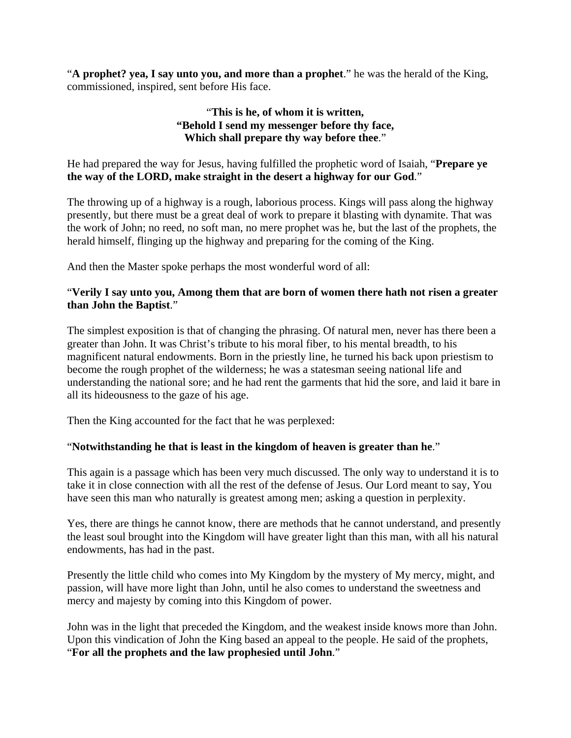"**A prophet? yea, I say unto you, and more than a prophet**." he was the herald of the King, commissioned, inspired, sent before His face.

# "**This is he, of whom it is written, "Behold I send my messenger before thy face, Which shall prepare thy way before thee**."

He had prepared the way for Jesus, having fulfilled the prophetic word of Isaiah, "**Prepare ye the way of the LORD, make straight in the desert a highway for our God**."

The throwing up of a highway is a rough, laborious process. Kings will pass along the highway presently, but there must be a great deal of work to prepare it blasting with dynamite. That was the work of John; no reed, no soft man, no mere prophet was he, but the last of the prophets, the herald himself, flinging up the highway and preparing for the coming of the King.

And then the Master spoke perhaps the most wonderful word of all:

# "**Verily I say unto you, Among them that are born of women there hath not risen a greater than John the Baptist**."

The simplest exposition is that of changing the phrasing. Of natural men, never has there been a greater than John. It was Christ's tribute to his moral fiber, to his mental breadth, to his magnificent natural endowments. Born in the priestly line, he turned his back upon priestism to become the rough prophet of the wilderness; he was a statesman seeing national life and understanding the national sore; and he had rent the garments that hid the sore, and laid it bare in all its hideousness to the gaze of his age.

Then the King accounted for the fact that he was perplexed:

# "**Notwithstanding he that is least in the kingdom of heaven is greater than he**."

This again is a passage which has been very much discussed. The only way to understand it is to take it in close connection with all the rest of the defense of Jesus. Our Lord meant to say, You have seen this man who naturally is greatest among men; asking a question in perplexity.

Yes, there are things he cannot know, there are methods that he cannot understand, and presently the least soul brought into the Kingdom will have greater light than this man, with all his natural endowments, has had in the past.

Presently the little child who comes into My Kingdom by the mystery of My mercy, might, and passion, will have more light than John, until he also comes to understand the sweetness and mercy and majesty by coming into this Kingdom of power.

John was in the light that preceded the Kingdom, and the weakest inside knows more than John. Upon this vindication of John the King based an appeal to the people. He said of the prophets, "**For all the prophets and the law prophesied until John**."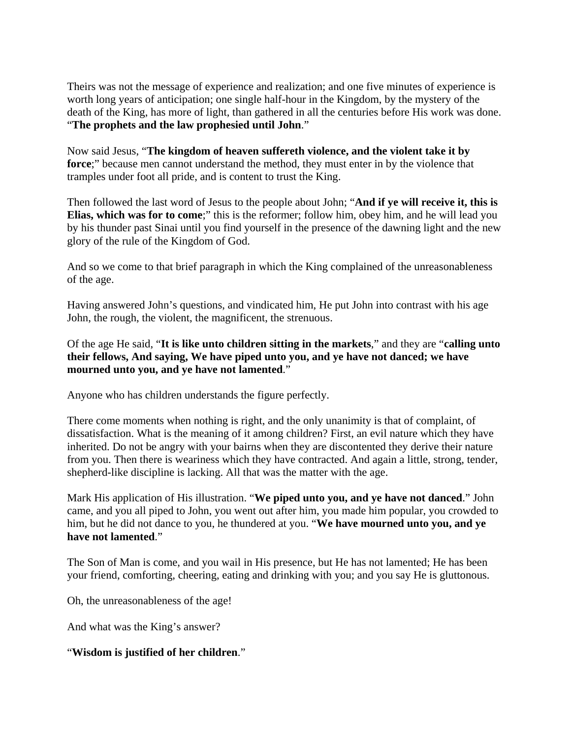Theirs was not the message of experience and realization; and one five minutes of experience is worth long years of anticipation; one single half-hour in the Kingdom, by the mystery of the death of the King, has more of light, than gathered in all the centuries before His work was done. "**The prophets and the law prophesied until John**."

Now said Jesus, "**The kingdom of heaven suffereth violence, and the violent take it by force**;" because men cannot understand the method, they must enter in by the violence that tramples under foot all pride, and is content to trust the King.

Then followed the last word of Jesus to the people about John; "**And if ye will receive it, this is Elias, which was for to come**;" this is the reformer; follow him, obey him, and he will lead you by his thunder past Sinai until you find yourself in the presence of the dawning light and the new glory of the rule of the Kingdom of God.

And so we come to that brief paragraph in which the King complained of the unreasonableness of the age.

Having answered John's questions, and vindicated him, He put John into contrast with his age John, the rough, the violent, the magnificent, the strenuous.

Of the age He said, "**It is like unto children sitting in the markets**," and they are "**calling unto their fellows, And saying, We have piped unto you, and ye have not danced; we have mourned unto you, and ye have not lamented**."

Anyone who has children understands the figure perfectly.

There come moments when nothing is right, and the only unanimity is that of complaint, of dissatisfaction. What is the meaning of it among children? First, an evil nature which they have inherited. Do not be angry with your bairns when they are discontented they derive their nature from you. Then there is weariness which they have contracted. And again a little, strong, tender, shepherd-like discipline is lacking. All that was the matter with the age.

Mark His application of His illustration. "**We piped unto you, and ye have not danced**." John came, and you all piped to John, you went out after him, you made him popular, you crowded to him, but he did not dance to you, he thundered at you. "**We have mourned unto you, and ye have not lamented**."

The Son of Man is come, and you wail in His presence, but He has not lamented; He has been your friend, comforting, cheering, eating and drinking with you; and you say He is gluttonous.

Oh, the unreasonableness of the age!

And what was the King's answer?

"**Wisdom is justified of her children**."